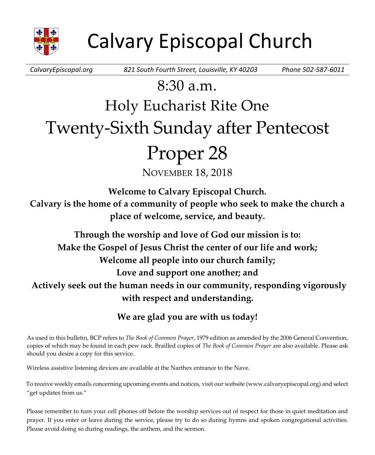

*CalvaryEpiscopal.org 821 South Fourth Street, Louisville, KY 40203 Phone 502-587-6011*

# $8:30a$  m. Holy Eucharist Rite One Twenty-Sixth Sunday after Pentecost Proper 28

NOVEMBER 18, 2018

**Welcome to Calvary Episcopal Church.**

**Calvary is the home of a community of people who seek to make the church a place of welcome, service, and beauty.**

**Through the worship and love of God our mission is to: Make the Gospel of Jesus Christ the center of our life and work; Welcome all people into our church family; Love and support one another; and Actively seek out the human needs in our community, responding vigorously with respect and understanding.**

# **We are glad you are with us today!**

As used in this bulletin, BCP refers to *The Book of Common Prayer*, 1979 edition as amended by the 2006 General Convention, copies of which may be found in each pew rack. Brailled copies of *The Book of Common Prayer* are also available. Please ask should you desire a copy for this service.

Wireless assistive listening devices are available at the Narthex entrance to the Nave.

To receive weekly emails concerning upcoming events and notices, visit our website (www.calvaryepiscopal.org) and select "get updates from us."

Please remember to turn your cell phones off before the worship services out of respect for those in quiet meditation and prayer. If you enter or leave during the service, please try to do so during hymns and spoken congregational activities. Please avoid doing so during readings, the anthem, and the sermon.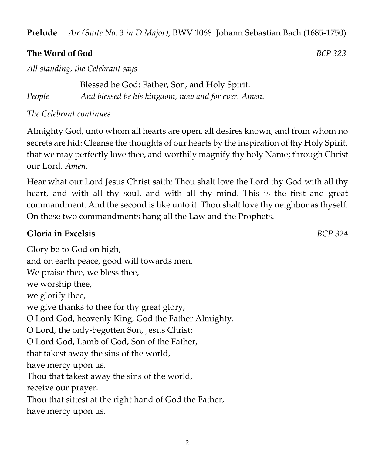**Prelude** *Air (Suite No. 3 in D Major)*, BWV 1068 Johann Sebastian Bach (1685-1750)

### **The Word of God** *BCP 323*

*All standing, the Celebrant says*

Blessed be God: Father, Son, and Holy Spirit. *People And blessed be his kingdom, now and for ever. Amen.*

### *The Celebrant continues*

Almighty God, unto whom all hearts are open, all desires known, and from whom no secrets are hid: Cleanse the thoughts of our hearts by the inspiration of thy Holy Spirit, that we may perfectly love thee, and worthily magnify thy holy Name; through Christ our Lord. *Amen*.

Hear what our Lord Jesus Christ saith: Thou shalt love the Lord thy God with all thy heart, and with all thy soul, and with all thy mind. This is the first and great commandment. And the second is like unto it: Thou shalt love thy neighbor as thyself. On these two commandments hang all the Law and the Prophets.

## **Gloria in Excelsis** *BCP 324*

Glory be to God on high, and on earth peace, good will towards men. We praise thee, we bless thee, we worship thee, we glorify thee, we give thanks to thee for thy great glory, O Lord God, heavenly King, God the Father Almighty. O Lord, the only-begotten Son, Jesus Christ; O Lord God, Lamb of God, Son of the Father, that takest away the sins of the world, have mercy upon us. Thou that takest away the sins of the world, receive our prayer. Thou that sittest at the right hand of God the Father, have mercy upon us.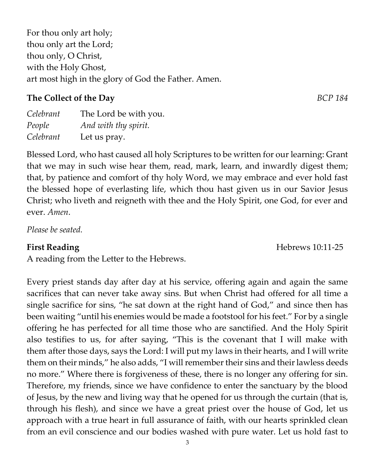3

For thou only art holy; thou only art the Lord; thou only, O Christ, with the Holy Ghost, art most high in the glory of God the Father. Amen.

# **The Collect of the Day** *BCP 184*

| Celebrant | The Lord be with you. |
|-----------|-----------------------|
| People    | And with thy spirit.  |
| Celebrant | Let us pray.          |

Blessed Lord, who hast caused all holy Scriptures to be written for our learning: Grant that we may in such wise hear them, read, mark, learn, and inwardly digest them; that, by patience and comfort of thy holy Word, we may embrace and ever hold fast the blessed hope of everlasting life, which thou hast given us in our Savior Jesus Christ; who liveth and reigneth with thee and the Holy Spirit, one God, for ever and ever. *Amen*.

*Please be seated.*

A reading from the Letter to the Hebrews.

Every priest stands day after day at his service, offering again and again the same sacrifices that can never take away sins. But when Christ had offered for all time a single sacrifice for sins, "he sat down at the right hand of God," and since then has been waiting "until his enemies would be made a footstool for his feet." For by a single offering he has perfected for all time those who are sanctified. And the Holy Spirit also testifies to us, for after saying, "This is the covenant that I will make with them after those days, says the Lord: I will put my laws in their hearts, and I will write them on their minds," he also adds, "I will remember their sins and their lawless deeds no more." Where there is forgiveness of these, there is no longer any offering for sin. Therefore, my friends, since we have confidence to enter the sanctuary by the blood of Jesus, by the new and living way that he opened for us through the curtain (that is, through his flesh), and since we have a great priest over the house of God, let us approach with a true heart in full assurance of faith, with our hearts sprinkled clean from an evil conscience and our bodies washed with pure water. Let us hold fast to

**First Reading** Hebrews 10:11-25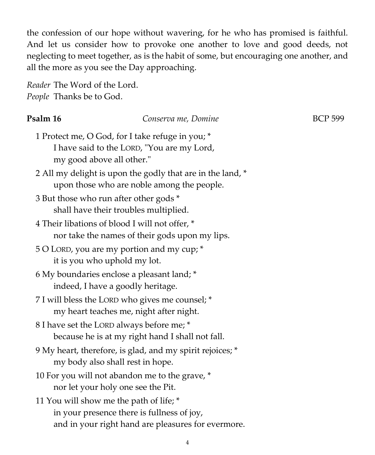the confession of our hope without wavering, for he who has promised is faithful. And let us consider how to provoke one another to love and good deeds, not neglecting to meet together, as is the habit of some, but encouraging one another, and all the more as you see the Day approaching.

*Reader* The Word of the Lord. *People* Thanks be to God.

#### **Psalm 16** Conserva me, Domine BCP 599

- 1 Protect me, O God, for I take refuge in you; \* I have said to the LORD, "You are my Lord, my good above all other."
- 2 All my delight is upon the godly that are in the land, \* upon those who are noble among the people.
- 3 But those who run after other gods \* shall have their troubles multiplied.
- 4 Their libations of blood I will not offer, \* nor take the names of their gods upon my lips.
- 5 O LORD, you are my portion and my cup; \* it is you who uphold my lot.
- 6 My boundaries enclose a pleasant land; \* indeed, I have a goodly heritage.
- 7 I will bless the LORD who gives me counsel; \* my heart teaches me, night after night.
- 8 I have set the LORD always before me; \* because he is at my right hand I shall not fall.
- 9 My heart, therefore, is glad, and my spirit rejoices; \* my body also shall rest in hope.
- 10 For you will not abandon me to the grave, \* nor let your holy one see the Pit.
- 11 You will show me the path of life; \* in your presence there is fullness of joy, and in your right hand are pleasures for evermore.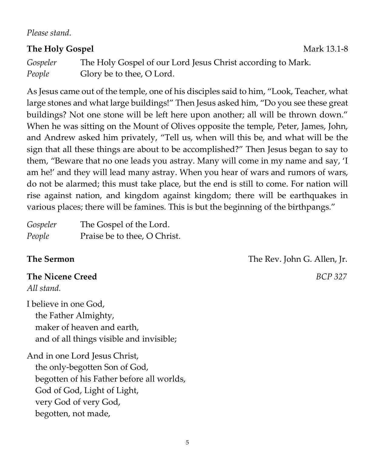*Please stand.*

## **The Holy Gospel** Mark 13.1-8

*Gospeler* The Holy Gospel of our Lord Jesus Christ according to Mark. *People* Glory be to thee, O Lord.

As Jesus came out of the temple, one of his disciples said to him, "Look, Teacher, what large stones and what large buildings!" Then Jesus asked him, "Do you see these great buildings? Not one stone will be left here upon another; all will be thrown down." When he was sitting on the Mount of Olives opposite the temple, Peter, James, John, and Andrew asked him privately, "Tell us, when will this be, and what will be the sign that all these things are about to be accomplished?" Then Jesus began to say to them, "Beware that no one leads you astray. Many will come in my name and say, 'I am he!' and they will lead many astray. When you hear of wars and rumors of wars, do not be alarmed; this must take place, but the end is still to come. For nation will rise against nation, and kingdom against kingdom; there will be earthquakes in various places; there will be famines. This is but the beginning of the birthpangs."

| Gospeler | The Gospel of the Lord.      |
|----------|------------------------------|
| People   | Praise be to thee, O Christ. |

## **The Nicene Creed** *BCP 327*

*All stand.*

I believe in one God, the Father Almighty, maker of heaven and earth, and of all things visible and invisible;

And in one Lord Jesus Christ, the only-begotten Son of God, begotten of his Father before all worlds, God of God, Light of Light, very God of very God, begotten, not made,

**The Sermon** The Rev. John G. Allen, Jr.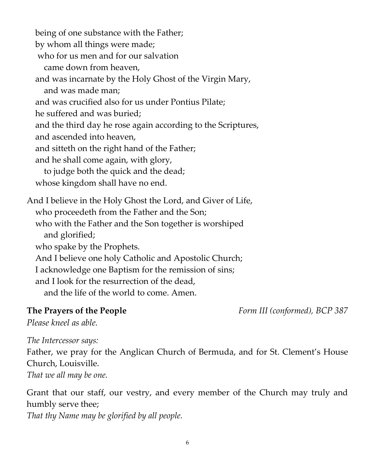being of one substance with the Father; by whom all things were made; who for us men and for our salvation came down from heaven, and was incarnate by the Holy Ghost of the Virgin Mary, and was made man; and was crucified also for us under Pontius Pilate; he suffered and was buried; and the third day he rose again according to the Scriptures, and ascended into heaven, and sitteth on the right hand of the Father; and he shall come again, with glory, to judge both the quick and the dead; whose kingdom shall have no end. And I believe in the Holy Ghost the Lord, and Giver of Life, who proceedeth from the Father and the Son; who with the Father and the Son together is worshiped and glorified; who spake by the Prophets. And I believe one holy Catholic and Apostolic Church; I acknowledge one Baptism for the remission of sins;

and I look for the resurrection of the dead,

and the life of the world to come. Amen.

**The Prayers of the People** *Form III (conformed), BCP 387*

*Please kneel as able.*

*The Intercessor says:*

Father, we pray for the Anglican Church of Bermuda, and for St. Clement's House Church, Louisville.

*That we all may be one.*

Grant that our staff, our vestry, and every member of the Church may truly and humbly serve thee; *That thy Name may be glorified by all people.*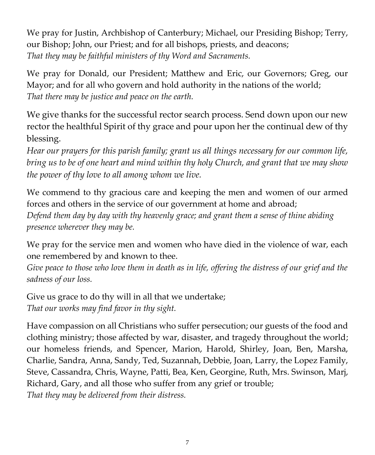We pray for Justin, Archbishop of Canterbury; Michael, our Presiding Bishop; Terry, our Bishop; John, our Priest; and for all bishops, priests, and deacons; *That they may be faithful ministers of thy Word and Sacraments.*

We pray for Donald, our President; Matthew and Eric, our Governors; Greg, our Mayor; and for all who govern and hold authority in the nations of the world; *That there may be justice and peace on the earth.*

We give thanks for the successful rector search process. Send down upon our new rector the healthful Spirit of thy grace and pour upon her the continual dew of thy blessing.

*Hear our prayers for this parish family; grant us all things necessary for our common life, bring us to be of one heart and mind within thy holy Church, and grant that we may show the power of thy love to all among whom we live.*

We commend to thy gracious care and keeping the men and women of our armed forces and others in the service of our government at home and abroad; *Defend them day by day with thy heavenly grace; and grant them a sense of thine abiding presence wherever they may be.*

We pray for the service men and women who have died in the violence of war, each one remembered by and known to thee.

*Give peace to those who love them in death as in life, offering the distress of our grief and the sadness of our loss.*

Give us grace to do thy will in all that we undertake; *That our works may find favor in thy sight.*

Have compassion on all Christians who suffer persecution; our guests of the food and clothing ministry; those affected by war, disaster, and tragedy throughout the world; our homeless friends, and Spencer, Marion, Harold, Shirley, Joan, Ben, Marsha, Charlie, Sandra, Anna, Sandy, Ted, Suzannah, Debbie, Joan, Larry, the Lopez Family, Steve, Cassandra, Chris, Wayne, Patti, Bea, Ken, Georgine, Ruth, Mrs. Swinson, Marj, Richard, Gary, and all those who suffer from any grief or trouble; *That they may be delivered from their distress.*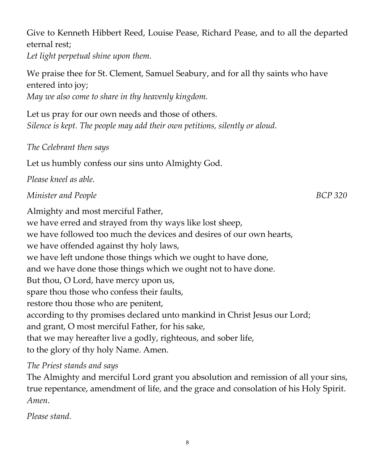*Let light perpetual shine upon them.* We praise thee for St. Clement, Samuel Seabury, and for all thy saints who have entered into joy; *May we also come to share in thy heavenly kingdom.* Let us pray for our own needs and those of others. *Silence is kept. The people may add their own petitions, silently or aloud.*

Give to Kenneth Hibbert Reed, Louise Pease, Richard Pease, and to all the departed

*The Celebrant then says* 

eternal rest;

Let us humbly confess our sins unto Almighty God.

*Please kneel as able.*

# *Minister and People* BCP 320

Almighty and most merciful Father, we have erred and strayed from thy ways like lost sheep, we have followed too much the devices and desires of our own hearts, we have offended against thy holy laws, we have left undone those things which we ought to have done, and we have done those things which we ought not to have done. But thou, O Lord, have mercy upon us, spare thou those who confess their faults, restore thou those who are penitent, according to thy promises declared unto mankind in Christ Jesus our Lord; and grant, O most merciful Father, for his sake, that we may hereafter live a godly, righteous, and sober life, to the glory of thy holy Name. Amen.

# *The Priest stands and says*

The Almighty and merciful Lord grant you absolution and remission of all your sins, true repentance, amendment of life, and the grace and consolation of his Holy Spirit. *Amen*.

*Please stand.*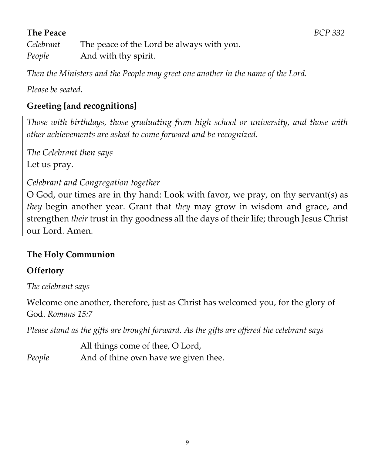# **The Peace** *BCP 332*

*Celebrant* The peace of the Lord be always with you. *People* And with thy spirit.

*Then the Ministers and the People may greet one another in the name of the Lord.*

*Please be seated.*

# **Greeting [and recognitions]**

*Those with birthdays, those graduating from high school or university, and those with other achievements are asked to come forward and be recognized.*

*The Celebrant then says* Let us pray*.*

# *Celebrant and Congregation together*

O God, our times are in thy hand: Look with favor, we pray, on thy servant(*s*) as *they* begin another year. Grant that *they* may grow in wisdom and grace, and strengthen *their* trust in thy goodness all the days of their life; through Jesus Christ our Lord. Amen.

# **The Holy Communion**

# **Offertory**

*The celebrant says*

Welcome one another, therefore, just as Christ has welcomed you, for the glory of God. *Romans 15:7*

*Please stand as the gifts are brought forward. As the gifts are offered the celebrant says*

All things come of thee, O Lord, *People* And of thine own have we given thee.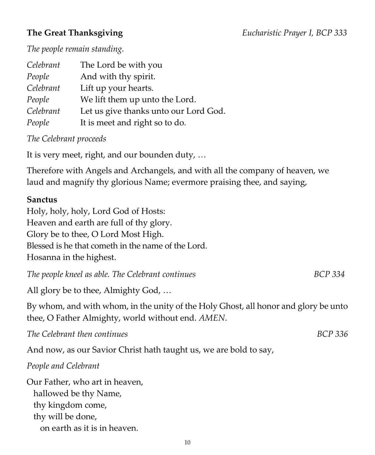#### **The Great Thanksgiving** *Eucharistic Prayer I, BCP 333*

*The people remain standing.*

| Celebrant | The Lord be with you                  |
|-----------|---------------------------------------|
| People    | And with thy spirit.                  |
| Celebrant | Lift up your hearts.                  |
| People    | We lift them up unto the Lord.        |
| Celebrant | Let us give thanks unto our Lord God. |
| People    | It is meet and right so to do.        |

*The Celebrant proceeds*

It is very meet, right, and our bounden duty, …

Therefore with Angels and Archangels, and with all the company of heaven, we laud and magnify thy glorious Name; evermore praising thee, and saying,

#### **Sanctus**

Holy, holy, holy, Lord God of Hosts: Heaven and earth are full of thy glory. Glory be to thee, O Lord Most High. Blessed is he that cometh in the name of the Lord. Hosanna in the highest.

*The people kneel as able. The Celebrant continues* **BCP** 334

All glory be to thee, Almighty God, …

By whom, and with whom, in the unity of the Holy Ghost, all honor and glory be unto thee, O Father Almighty, world without end. *AMEN*.

*The Celebrant then continues BCP 336*

And now, as our Savior Christ hath taught us, we are bold to say,

*People and Celebrant*

Our Father, who art in heaven, hallowed be thy Name, thy kingdom come, thy will be done, on earth as it is in heaven.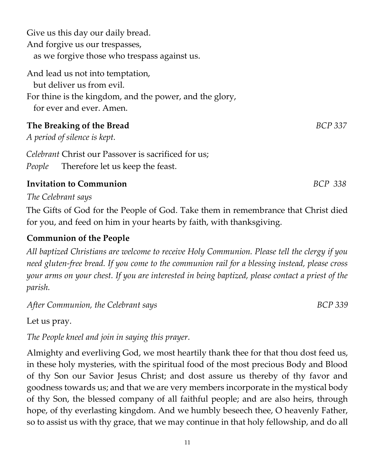Give us this day our daily bread. And forgive us our trespasses, as we forgive those who trespass against us. And lead us not into temptation, but deliver us from evil. For thine is the kingdom, and the power, and the glory, for ever and ever. Amen. **The Breaking of the Bread** *BCP 337 A period of silence is kept. Celebrant* Christ our Passover is sacrificed for us; *People* Therefore let us keep the feast. **Invitation to Communion** *BCP 338* 

*The Celebrant says*

The Gifts of God for the People of God. Take them in remembrance that Christ died for you, and feed on him in your hearts by faith, with thanksgiving.

# **Communion of the People**

*All baptized Christians are welcome to receive Holy Communion. Please tell the clergy if you need gluten-free bread. If you come to the communion rail for a blessing instead, please cross your arms on your chest. If you are interested in being baptized, please contact a priest of the parish.* 

*After Communion, the Celebrant says BCP 339*

Let us pray.

*The People kneel and join in saying this prayer.*

Almighty and everliving God, we most heartily thank thee for that thou dost feed us, in these holy mysteries, with the spiritual food of the most precious Body and Blood of thy Son our Savior Jesus Christ; and dost assure us thereby of thy favor and goodness towards us; and that we are very members incorporate in the mystical body of thy Son, the blessed company of all faithful people; and are also heirs, through hope, of thy everlasting kingdom. And we humbly beseech thee, O heavenly Father, so to assist us with thy grace, that we may continue in that holy fellowship, and do all